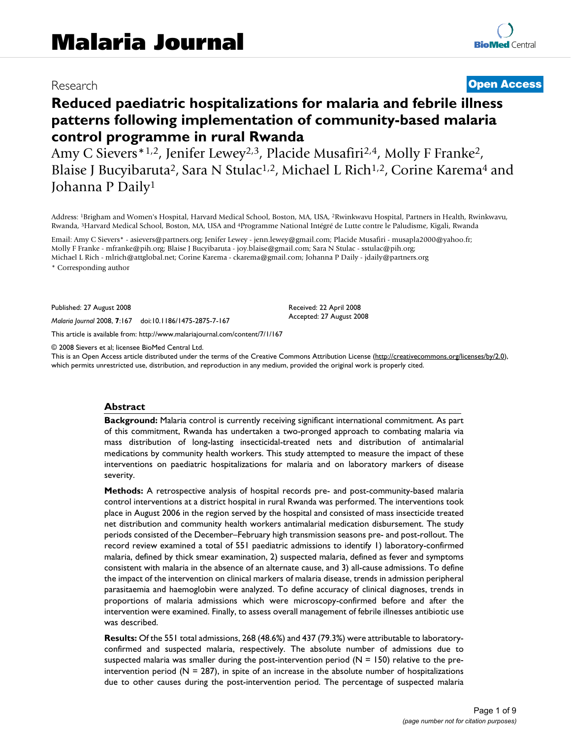# Research **[Open Access](http://www.biomedcentral.com/info/about/charter/)**

# **Reduced paediatric hospitalizations for malaria and febrile illness patterns following implementation of community-based malaria control programme in rural Rwanda**

Amy C Sievers<sup>\*1,2</sup>, Jenifer Lewey<sup>2,3</sup>, Placide Musafiri<sup>2,4</sup>, Molly F Franke<sup>2</sup>, Blaise J Bucyibaruta<sup>2</sup>, Sara N Stulac<sup>1,2</sup>, Michael L Rich<sup>1,2</sup>, Corine Karema<sup>4</sup> and Johanna P Daily1

Address: 1Brigham and Women's Hospital, Harvard Medical School, Boston, MA, USA, 2Rwinkwavu Hospital, Partners in Health, Rwinkwavu, Rwanda, 3Harvard Medical School, Boston, MA, USA and 4Programme National Intégré de Lutte contre le Paludisme, Kigali, Rwanda

Email: Amy C Sievers\* - asievers@partners.org; Jenifer Lewey - jenn.lewey@gmail.com; Placide Musafiri - musapla2000@yahoo.fr; Molly F Franke - mfranke@pih.org; Blaise J Bucyibaruta - joy.blaise@gmail.com; Sara N Stulac - sstulac@pih.org; Michael L Rich - mlrich@attglobal.net; Corine Karema - ckarema@gmail.com; Johanna P Daily - jdaily@partners.org \* Corresponding author

Published: 27 August 2008

*Malaria Journal* 2008, **7**:167 doi:10.1186/1475-2875-7-167

[This article is available from: http://www.malariajournal.com/content/7/1/167](http://www.malariajournal.com/content/7/1/167)

© 2008 Sievers et al; licensee BioMed Central Ltd.

This is an Open Access article distributed under the terms of the Creative Commons Attribution License [\(http://creativecommons.org/licenses/by/2.0\)](http://creativecommons.org/licenses/by/2.0), which permits unrestricted use, distribution, and reproduction in any medium, provided the original work is properly cited.

Received: 22 April 2008 Accepted: 27 August 2008

#### **Abstract**

**Background:** Malaria control is currently receiving significant international commitment. As part of this commitment, Rwanda has undertaken a two-pronged approach to combating malaria via mass distribution of long-lasting insecticidal-treated nets and distribution of antimalarial medications by community health workers. This study attempted to measure the impact of these interventions on paediatric hospitalizations for malaria and on laboratory markers of disease severity.

**Methods:** A retrospective analysis of hospital records pre- and post-community-based malaria control interventions at a district hospital in rural Rwanda was performed. The interventions took place in August 2006 in the region served by the hospital and consisted of mass insecticide treated net distribution and community health workers antimalarial medication disbursement. The study periods consisted of the December–February high transmission seasons pre- and post-rollout. The record review examined a total of 551 paediatric admissions to identify 1) laboratory-confirmed malaria, defined by thick smear examination, 2) suspected malaria, defined as fever and symptoms consistent with malaria in the absence of an alternate cause, and 3) all-cause admissions. To define the impact of the intervention on clinical markers of malaria disease, trends in admission peripheral parasitaemia and haemoglobin were analyzed. To define accuracy of clinical diagnoses, trends in proportions of malaria admissions which were microscopy-confirmed before and after the intervention were examined. Finally, to assess overall management of febrile illnesses antibiotic use was described.

**Results:** Of the 551 total admissions, 268 (48.6%) and 437 (79.3%) were attributable to laboratoryconfirmed and suspected malaria, respectively. The absolute number of admissions due to suspected malaria was smaller during the post-intervention period ( $N = 150$ ) relative to the preintervention period ( $N = 287$ ), in spite of an increase in the absolute number of hospitalizations due to other causes during the post-intervention period. The percentage of suspected malaria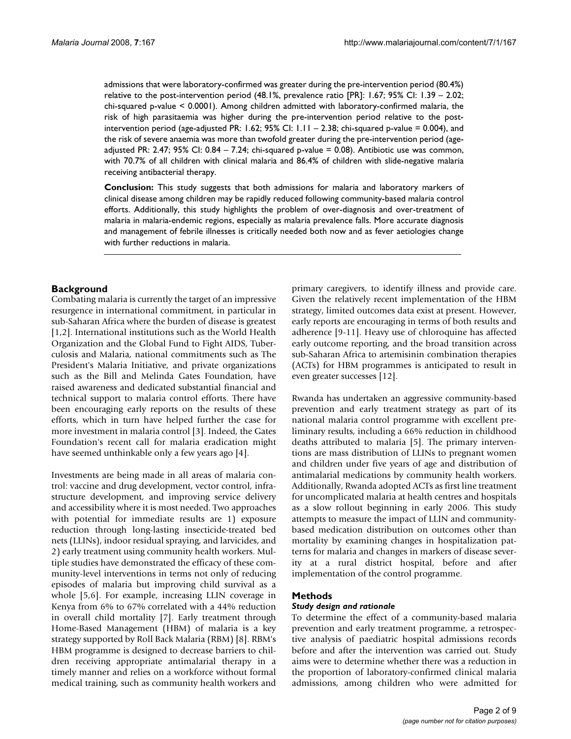admissions that were laboratory-confirmed was greater during the pre-intervention period (80.4%) relative to the post-intervention period (48.1%, prevalence ratio [PR]: 1.67; 95% CI: 1.39 – 2.02; chi-squared p-value < 0.0001). Among children admitted with laboratory-confirmed malaria, the risk of high parasitaemia was higher during the pre-intervention period relative to the postintervention period (age-adjusted PR: 1.62; 95% CI:  $1.11 - 2.38$ ; chi-squared p-value = 0.004), and the risk of severe anaemia was more than twofold greater during the pre-intervention period (ageadjusted PR: 2.47; 95% CI: 0.84 – 7.24; chi-squared p-value = 0.08). Antibiotic use was common, with 70.7% of all children with clinical malaria and 86.4% of children with slide-negative malaria receiving antibacterial therapy.

**Conclusion:** This study suggests that both admissions for malaria and laboratory markers of clinical disease among children may be rapidly reduced following community-based malaria control efforts. Additionally, this study highlights the problem of over-diagnosis and over-treatment of malaria in malaria-endemic regions, especially as malaria prevalence falls. More accurate diagnosis and management of febrile illnesses is critically needed both now and as fever aetiologies change with further reductions in malaria.

## **Background**

Combating malaria is currently the target of an impressive resurgence in international commitment, in particular in sub-Saharan Africa where the burden of disease is greatest [1,2]. International institutions such as the World Health Organization and the Global Fund to Fight AIDS, Tuberculosis and Malaria, national commitments such as The President's Malaria Initiative, and private organizations such as the Bill and Melinda Gates Foundation, have raised awareness and dedicated substantial financial and technical support to malaria control efforts. There have been encouraging early reports on the results of these efforts, which in turn have helped further the case for more investment in malaria control [3]. Indeed, the Gates Foundation's recent call for malaria eradication might have seemed unthinkable only a few years ago [4].

Investments are being made in all areas of malaria control: vaccine and drug development, vector control, infrastructure development, and improving service delivery and accessibility where it is most needed. Two approaches with potential for immediate results are 1) exposure reduction through long-lasting insecticide-treated bed nets (LLINs), indoor residual spraying, and larvicides, and 2) early treatment using community health workers. Multiple studies have demonstrated the efficacy of these community-level interventions in terms not only of reducing episodes of malaria but improving child survival as a whole [5,6]. For example, increasing LLIN coverage in Kenya from 6% to 67% correlated with a 44% reduction in overall child mortality [7]. Early treatment through Home-Based Management (HBM) of malaria is a key strategy supported by Roll Back Malaria (RBM) [8]. RBM's HBM programme is designed to decrease barriers to children receiving appropriate antimalarial therapy in a timely manner and relies on a workforce without formal medical training, such as community health workers and primary caregivers, to identify illness and provide care. Given the relatively recent implementation of the HBM strategy, limited outcomes data exist at present. However, early reports are encouraging in terms of both results and adherence [9-11]. Heavy use of chloroquine has affected early outcome reporting, and the broad transition across sub-Saharan Africa to artemisinin combination therapies (ACTs) for HBM programmes is anticipated to result in even greater successes [12].

Rwanda has undertaken an aggressive community-based prevention and early treatment strategy as part of its national malaria control programme with excellent preliminary results, including a 66% reduction in childhood deaths attributed to malaria [5]. The primary interventions are mass distribution of LLINs to pregnant women and children under five years of age and distribution of antimalarial medications by community health workers. Additionally, Rwanda adopted ACTs as first line treatment for uncomplicated malaria at health centres and hospitals as a slow rollout beginning in early 2006. This study attempts to measure the impact of LLIN and communitybased medication distribution on outcomes other than mortality by examining changes in hospitalization patterns for malaria and changes in markers of disease severity at a rural district hospital, before and after implementation of the control programme.

### **Methods**

#### *Study design and rationale*

To determine the effect of a community-based malaria prevention and early treatment programme, a retrospective analysis of paediatric hospital admissions records before and after the intervention was carried out. Study aims were to determine whether there was a reduction in the proportion of laboratory-confirmed clinical malaria admissions, among children who were admitted for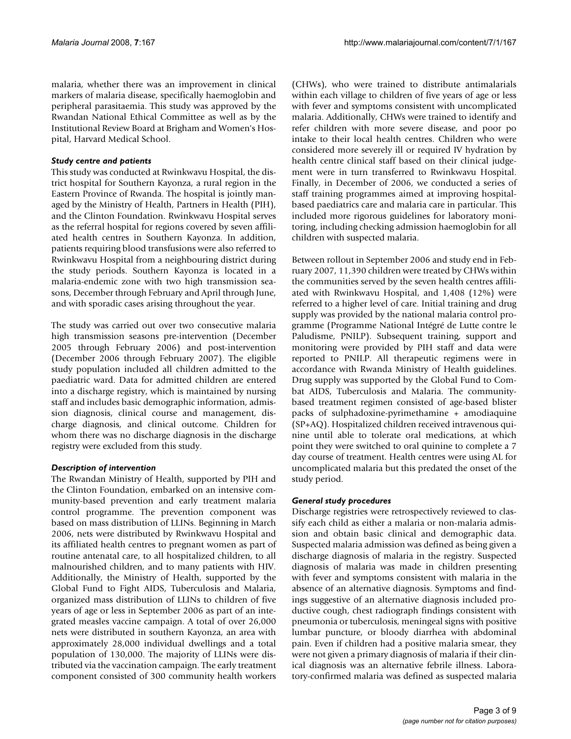malaria, whether there was an improvement in clinical markers of malaria disease, specifically haemoglobin and peripheral parasitaemia. This study was approved by the Rwandan National Ethical Committee as well as by the Institutional Review Board at Brigham and Women's Hospital, Harvard Medical School.

#### *Study centre and patients*

This study was conducted at Rwinkwavu Hospital, the district hospital for Southern Kayonza, a rural region in the Eastern Province of Rwanda. The hospital is jointly managed by the Ministry of Health, Partners in Health (PIH), and the Clinton Foundation. Rwinkwavu Hospital serves as the referral hospital for regions covered by seven affiliated health centres in Southern Kayonza. In addition, patients requiring blood transfusions were also referred to Rwinkwavu Hospital from a neighbouring district during the study periods. Southern Kayonza is located in a malaria-endemic zone with two high transmission seasons, December through February and April through June, and with sporadic cases arising throughout the year.

The study was carried out over two consecutive malaria high transmission seasons pre-intervention (December 2005 through February 2006) and post-intervention (December 2006 through February 2007). The eligible study population included all children admitted to the paediatric ward. Data for admitted children are entered into a discharge registry, which is maintained by nursing staff and includes basic demographic information, admission diagnosis, clinical course and management, discharge diagnosis, and clinical outcome. Children for whom there was no discharge diagnosis in the discharge registry were excluded from this study.

### *Description of intervention*

The Rwandan Ministry of Health, supported by PIH and the Clinton Foundation, embarked on an intensive community-based prevention and early treatment malaria control programme. The prevention component was based on mass distribution of LLINs. Beginning in March 2006, nets were distributed by Rwinkwavu Hospital and its affiliated health centres to pregnant women as part of routine antenatal care, to all hospitalized children, to all malnourished children, and to many patients with HIV. Additionally, the Ministry of Health, supported by the Global Fund to Fight AIDS, Tuberculosis and Malaria, organized mass distribution of LLINs to children of five years of age or less in September 2006 as part of an integrated measles vaccine campaign. A total of over 26,000 nets were distributed in southern Kayonza, an area with approximately 28,000 individual dwellings and a total population of 130,000. The majority of LLINs were distributed via the vaccination campaign. The early treatment component consisted of 300 community health workers (CHWs), who were trained to distribute antimalarials within each village to children of five years of age or less with fever and symptoms consistent with uncomplicated malaria. Additionally, CHWs were trained to identify and refer children with more severe disease, and poor po intake to their local health centres. Children who were considered more severely ill or required IV hydration by health centre clinical staff based on their clinical judgement were in turn transferred to Rwinkwavu Hospital. Finally, in December of 2006, we conducted a series of staff training programmes aimed at improving hospitalbased paediatrics care and malaria care in particular. This included more rigorous guidelines for laboratory monitoring, including checking admission haemoglobin for all children with suspected malaria.

Between rollout in September 2006 and study end in February 2007, 11,390 children were treated by CHWs within the communities served by the seven health centres affiliated with Rwinkwavu Hospital, and 1,408 (12%) were referred to a higher level of care. Initial training and drug supply was provided by the national malaria control programme (Programme National Intégré de Lutte contre le Paludisme, PNILP). Subsequent training, support and monitoring were provided by PIH staff and data were reported to PNILP. All therapeutic regimens were in accordance with Rwanda Ministry of Health guidelines. Drug supply was supported by the Global Fund to Combat AIDS, Tuberculosis and Malaria. The communitybased treatment regimen consisted of age-based blister packs of sulphadoxine-pyrimethamine + amodiaquine (SP+AQ). Hospitalized children received intravenous quinine until able to tolerate oral medications, at which point they were switched to oral quinine to complete a 7 day course of treatment. Health centres were using AL for uncomplicated malaria but this predated the onset of the study period.

#### *General study procedures*

Discharge registries were retrospectively reviewed to classify each child as either a malaria or non-malaria admission and obtain basic clinical and demographic data. Suspected malaria admission was defined as being given a discharge diagnosis of malaria in the registry. Suspected diagnosis of malaria was made in children presenting with fever and symptoms consistent with malaria in the absence of an alternative diagnosis. Symptoms and findings suggestive of an alternative diagnosis included productive cough, chest radiograph findings consistent with pneumonia or tuberculosis, meningeal signs with positive lumbar puncture, or bloody diarrhea with abdominal pain. Even if children had a positive malaria smear, they were not given a primary diagnosis of malaria if their clinical diagnosis was an alternative febrile illness. Laboratory-confirmed malaria was defined as suspected malaria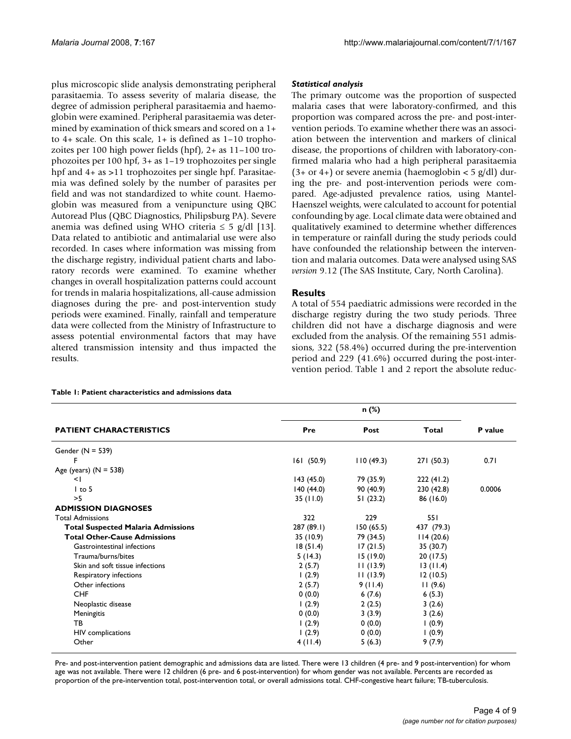plus microscopic slide analysis demonstrating peripheral parasitaemia. To assess severity of malaria disease, the degree of admission peripheral parasitaemia and haemoglobin were examined. Peripheral parasitaemia was determined by examination of thick smears and scored on a 1+ to 4+ scale. On this scale, 1+ is defined as 1–10 trophozoites per 100 high power fields (hpf), 2+ as 11–100 trophozoites per 100 hpf, 3+ as 1–19 trophozoites per single hpf and  $4+$  as >11 trophozoites per single hpf. Parasitaemia was defined solely by the number of parasites per field and was not standardized to white count. Haemoglobin was measured from a venipuncture using QBC Autoread Plus (QBC Diagnostics, Philipsburg PA). Severe anemia was defined using WHO criteria  $\leq$  5 g/dl [13]. Data related to antibiotic and antimalarial use were also recorded. In cases where information was missing from the discharge registry, individual patient charts and laboratory records were examined. To examine whether changes in overall hospitalization patterns could account for trends in malaria hospitalizations, all-cause admission diagnoses during the pre- and post-intervention study periods were examined. Finally, rainfall and temperature data were collected from the Ministry of Infrastructure to assess potential environmental factors that may have altered transmission intensity and thus impacted the results.

#### *Statistical analysis*

The primary outcome was the proportion of suspected malaria cases that were laboratory-confirmed, and this proportion was compared across the pre- and post-intervention periods. To examine whether there was an association between the intervention and markers of clinical disease, the proportions of children with laboratory-confirmed malaria who had a high peripheral parasitaemia  $(3+$  or 4+) or severe anemia (haemoglobin < 5 g/dl) during the pre- and post-intervention periods were compared. Age-adjusted prevalence ratios, using Mantel-Haenszel weights, were calculated to account for potential confounding by age. Local climate data were obtained and qualitatively examined to determine whether differences in temperature or rainfall during the study periods could have confounded the relationship between the intervention and malaria outcomes. Data were analysed using SAS *version* 9.12 (The SAS Institute, Cary, North Carolina).

### **Results**

A total of 554 paediatric admissions were recorded in the discharge registry during the two study periods. Three children did not have a discharge diagnosis and were excluded from the analysis. Of the remaining 551 admissions, 322 (58.4%) occurred during the pre-intervention period and 229 (41.6%) occurred during the post-intervention period. Table 1 and 2 report the absolute reduc-

#### **Table 1: Patient characteristics and admissions data**

| <b>PATIENT CHARACTERISTICS</b>            |            |           |            |         |
|-------------------------------------------|------------|-----------|------------|---------|
|                                           | Pre        | Post      | Total      | P value |
| Gender $(N = 539)$                        |            |           |            |         |
| F                                         | 161(50.9)  | 110(49.3) | 271(50.3)  | 0.71    |
| Age (years) $(N = 538)$                   |            |           |            |         |
| $\leq$                                    | 143(45.0)  | 79 (35.9) | 222(41.2)  |         |
| $1$ to 5                                  | 140(44.0)  | 90 (40.9) | 230 (42.8) | 0.0006  |
| >5                                        | 35 (11.0)  | 51(23.2)  | 86 (16.0)  |         |
| <b>ADMISSION DIAGNOSES</b>                |            |           |            |         |
| <b>Total Admissions</b>                   | 322        | 229       | 551        |         |
| <b>Total Suspected Malaria Admissions</b> | 287 (89.1) | 150(65.5) | 437 (79.3) |         |
| <b>Total Other-Cause Admissions</b>       | 35 (10.9)  | 79 (34.5) | 114(20.6)  |         |
| Gastrointestinal infections               | 18(51.4)   | 17(21.5)  | 35 (30.7)  |         |
| Trauma/burns/bites                        | 5(14.3)    | 15(19.0)  | 20 (17.5)  |         |
| Skin and soft tissue infections           | 2(5.7)     | 11(13.9)  | 13(11.4)   |         |
| Respiratory infections                    | (2.9)      | 11(13.9)  | 12(10.5)   |         |
| Other infections                          | 2(5.7)     | 9(11.4)   | 11(9.6)    |         |
| <b>CHF</b>                                | 0(0.0)     | 6(7.6)    | 6(5.3)     |         |
| Neoplastic disease                        | (2.9)      | 2(2.5)    | 3(2.6)     |         |
| Meningitis                                | 0(0.0)     | 3(3.9)    | 3(2.6)     |         |
| TB                                        | 1(2.9)     | 0(0.0)    | 1(0.9)     |         |
| HIV complications                         | (2.9)      | 0(0.0)    | 1(0.9)     |         |
| Other                                     | 4(11.4)    | 5(6.3)    | 9(7.9)     |         |

Pre- and post-intervention patient demographic and admissions data are listed. There were 13 children (4 pre- and 9 post-intervention) for whom age was not available. There were 12 children (6 pre- and 6 post-intervention) for whom gender was not available. Percents are recorded as proportion of the pre-intervention total, post-intervention total, or overall admissions total. CHF-congestive heart failure; TB-tuberculosis.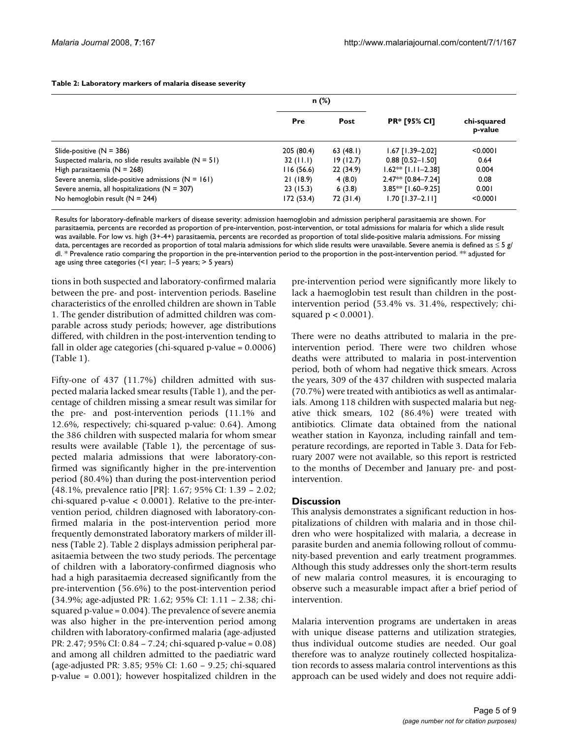|                                                          | $n$ (%)     |           |                      |                        |
|----------------------------------------------------------|-------------|-----------|----------------------|------------------------|
|                                                          | Pre         | Post      | <b>PR* [95% CI]</b>  | chi-squared<br>p-value |
| Slide-positive $(N = 386)$                               | 205 (80.4)  | 63(48.1)  | $1.67$ [1.39-2.02]   | < 0.0001               |
| Suspected malaria, no slide results available $(N = 51)$ | $32$ (11.1) | 19(12.7)  | $0.88$ [0.52-1.50]   | 0.64                   |
| High parasitaemia ( $N = 268$ )                          | 116(56.6)   | 22(34.9)  | $1.62**$ [1.11-2.38] | 0.004                  |
| Severe anemia, slide-positive admissions $(N = 161)$     | 21(18.9)    | 4(8.0)    | $2.47**$ [0.84-7.24] | 0.08                   |
| Severe anemia, all hospitalizations ( $N = 307$ )        | 23(15.3)    | 6(3.8)    | 3.85** [1.60-9.25]   | 0.001                  |
| No hemoglobin result $(N = 244)$                         | 172 (53.4)  | 72 (31.4) | 1.70 [1.37–2.11]     | < 0.0001               |

**Table 2: Laboratory markers of malaria disease severity**

Results for laboratory-definable markers of disease severity: admission haemoglobin and admission peripheral parasitaemia are shown. For parasitaemia, percents are recorded as proportion of pre-intervention, post-intervention, or total admissions for malaria for which a slide result was available. For low vs. high (3+-4+) parasitaemia, percents are recorded as proportion of total slide-positive malaria admissions. For missing data, percentages are recorded as proportion of total malaria admissions for which slide results were unavailable. Severe anemia is defined as  $\leq$  5 g/ dl. \* Prevalence ratio comparing the proportion in the pre-intervention period to the proportion in the post-intervention period. \*\* adjusted for age using three categories (<1 year; 1–5 years; > 5 years)

tions in both suspected and laboratory-confirmed malaria between the pre- and post- intervention periods. Baseline characteristics of the enrolled children are shown in Table 1. The gender distribution of admitted children was comparable across study periods; however, age distributions differed, with children in the post-intervention tending to fall in older age categories (chi-squared p-value = 0.0006) (Table 1).

Fifty-one of 437 (11.7%) children admitted with suspected malaria lacked smear results (Table 1), and the percentage of children missing a smear result was similar for the pre- and post-intervention periods (11.1% and 12.6%, respectively; chi-squared p-value: 0.64). Among the 386 children with suspected malaria for whom smear results were available (Table 1), the percentage of suspected malaria admissions that were laboratory-confirmed was significantly higher in the pre-intervention period (80.4%) than during the post-intervention period (48.1%, prevalence ratio [PR]: 1.67; 95% CI: 1.39 – 2.02; chi-squared p-value < 0.0001). Relative to the pre-intervention period, children diagnosed with laboratory-confirmed malaria in the post-intervention period more frequently demonstrated laboratory markers of milder illness (Table 2). Table 2 displays admission peripheral parasitaemia between the two study periods. The percentage of children with a laboratory-confirmed diagnosis who had a high parasitaemia decreased significantly from the pre-intervention (56.6%) to the post-intervention period (34.9%; age-adjusted PR: 1.62; 95% CI: 1.11 – 2.38; chisquared p-value = 0.004). The prevalence of severe anemia was also higher in the pre-intervention period among children with laboratory-confirmed malaria (age-adjusted PR: 2.47; 95% CI: 0.84 – 7.24; chi-squared p-value = 0.08) and among all children admitted to the paediatric ward (age-adjusted PR: 3.85; 95% CI: 1.60 – 9.25; chi-squared p-value = 0.001); however hospitalized children in the

pre-intervention period were significantly more likely to lack a haemoglobin test result than children in the postintervention period (53.4% vs. 31.4%, respectively; chisquared  $p < 0.0001$ ).

There were no deaths attributed to malaria in the preintervention period. There were two children whose deaths were attributed to malaria in post-intervention period, both of whom had negative thick smears. Across the years, 309 of the 437 children with suspected malaria (70.7%) were treated with antibiotics as well as antimalarials. Among 118 children with suspected malaria but negative thick smears, 102 (86.4%) were treated with antibiotics. Climate data obtained from the national weather station in Kayonza, including rainfall and temperature recordings, are reported in Table 3. Data for February 2007 were not available, so this report is restricted to the months of December and January pre- and postintervention.

### **Discussion**

This analysis demonstrates a significant reduction in hospitalizations of children with malaria and in those children who were hospitalized with malaria, a decrease in parasite burden and anemia following rollout of community-based prevention and early treatment programmes. Although this study addresses only the short-term results of new malaria control measures, it is encouraging to observe such a measurable impact after a brief period of intervention.

Malaria intervention programs are undertaken in areas with unique disease patterns and utilization strategies, thus individual outcome studies are needed. Our goal therefore was to analyze routinely collected hospitalization records to assess malaria control interventions as this approach can be used widely and does not require addi-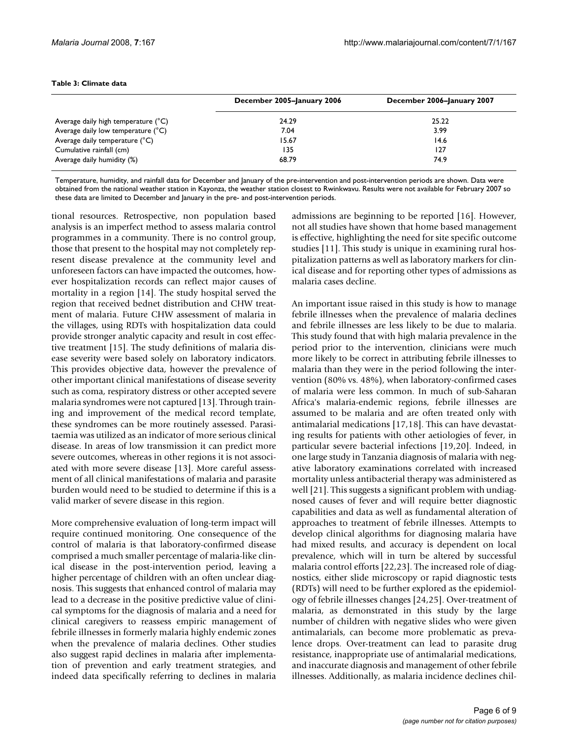|                                     | December 2005-January 2006 | December 2006-January 2007 |
|-------------------------------------|----------------------------|----------------------------|
| Average daily high temperature (°C) | 24.29                      | 25.22                      |
| Average daily low temperature (°C)  | 7.04                       | 3.99                       |
| Average daily temperature (°C)      | 15.67                      | 14.6                       |
| Cumulative rainfall (cm)            | 135                        | 127                        |
| Average daily humidity (%)          | 68.79                      | 74.9                       |

#### **Table 3: Climate data**

Temperature, humidity, and rainfall data for December and January of the pre-intervention and post-intervention periods are shown. Data were obtained from the national weather station in Kayonza, the weather station closest to Rwinkwavu. Results were not available for February 2007 so these data are limited to December and January in the pre- and post-intervention periods.

tional resources. Retrospective, non population based analysis is an imperfect method to assess malaria control programmes in a community. There is no control group, those that present to the hospital may not completely represent disease prevalence at the community level and unforeseen factors can have impacted the outcomes, however hospitalization records can reflect major causes of mortality in a region [14]. The study hospital served the region that received bednet distribution and CHW treatment of malaria. Future CHW assessment of malaria in the villages, using RDTs with hospitalization data could provide stronger analytic capacity and result in cost effective treatment [15]. The study definitions of malaria disease severity were based solely on laboratory indicators. This provides objective data, however the prevalence of other important clinical manifestations of disease severity such as coma, respiratory distress or other accepted severe malaria syndromes were not captured [13]. Through training and improvement of the medical record template, these syndromes can be more routinely assessed. Parasitaemia was utilized as an indicator of more serious clinical disease. In areas of low transmission it can predict more severe outcomes, whereas in other regions it is not associated with more severe disease [13]. More careful assessment of all clinical manifestations of malaria and parasite burden would need to be studied to determine if this is a valid marker of severe disease in this region.

More comprehensive evaluation of long-term impact will require continued monitoring. One consequence of the control of malaria is that laboratory-confirmed disease comprised a much smaller percentage of malaria-like clinical disease in the post-intervention period, leaving a higher percentage of children with an often unclear diagnosis. This suggests that enhanced control of malaria may lead to a decrease in the positive predictive value of clinical symptoms for the diagnosis of malaria and a need for clinical caregivers to reassess empiric management of febrile illnesses in formerly malaria highly endemic zones when the prevalence of malaria declines. Other studies also suggest rapid declines in malaria after implementation of prevention and early treatment strategies, and indeed data specifically referring to declines in malaria

admissions are beginning to be reported [16]. However, not all studies have shown that home based management is effective, highlighting the need for site specific outcome studies [11]. This study is unique in examining rural hospitalization patterns as well as laboratory markers for clinical disease and for reporting other types of admissions as malaria cases decline.

An important issue raised in this study is how to manage febrile illnesses when the prevalence of malaria declines and febrile illnesses are less likely to be due to malaria. This study found that with high malaria prevalence in the period prior to the intervention, clinicians were much more likely to be correct in attributing febrile illnesses to malaria than they were in the period following the intervention (80% vs. 48%), when laboratory-confirmed cases of malaria were less common. In much of sub-Saharan Africa's malaria-endemic regions, febrile illnesses are assumed to be malaria and are often treated only with antimalarial medications [17,18]. This can have devastating results for patients with other aetiologies of fever, in particular severe bacterial infections [19,20]. Indeed, in one large study in Tanzania diagnosis of malaria with negative laboratory examinations correlated with increased mortality unless antibacterial therapy was administered as well [21]. This suggests a significant problem with undiagnosed causes of fever and will require better diagnostic capabilities and data as well as fundamental alteration of approaches to treatment of febrile illnesses. Attempts to develop clinical algorithms for diagnosing malaria have had mixed results, and accuracy is dependent on local prevalence, which will in turn be altered by successful malaria control efforts [22,23]. The increased role of diagnostics, either slide microscopy or rapid diagnostic tests (RDTs) will need to be further explored as the epidemiology of febrile illnesses changes [24,25]. Over-treatment of malaria, as demonstrated in this study by the large number of children with negative slides who were given antimalarials, can become more problematic as prevalence drops. Over-treatment can lead to parasite drug resistance, inappropriate use of antimalarial medications, and inaccurate diagnosis and management of other febrile illnesses. Additionally, as malaria incidence declines chil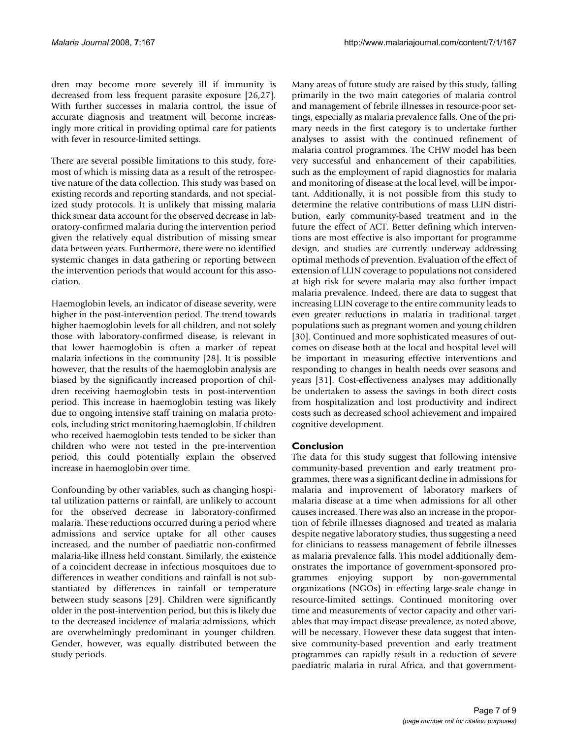dren may become more severely ill if immunity is decreased from less frequent parasite exposure [26,27]. With further successes in malaria control, the issue of accurate diagnosis and treatment will become increasingly more critical in providing optimal care for patients with fever in resource-limited settings.

There are several possible limitations to this study, foremost of which is missing data as a result of the retrospective nature of the data collection. This study was based on existing records and reporting standards, and not specialized study protocols. It is unlikely that missing malaria thick smear data account for the observed decrease in laboratory-confirmed malaria during the intervention period given the relatively equal distribution of missing smear data between years. Furthermore, there were no identified systemic changes in data gathering or reporting between the intervention periods that would account for this association.

Haemoglobin levels, an indicator of disease severity, were higher in the post-intervention period. The trend towards higher haemoglobin levels for all children, and not solely those with laboratory-confirmed disease, is relevant in that lower haemoglobin is often a marker of repeat malaria infections in the community [28]. It is possible however, that the results of the haemoglobin analysis are biased by the significantly increased proportion of children receiving haemoglobin tests in post-intervention period. This increase in haemoglobin testing was likely due to ongoing intensive staff training on malaria protocols, including strict monitoring haemoglobin. If children who received haemoglobin tests tended to be sicker than children who were not tested in the pre-intervention period, this could potentially explain the observed increase in haemoglobin over time.

Confounding by other variables, such as changing hospital utilization patterns or rainfall, are unlikely to account for the observed decrease in laboratory-confirmed malaria. These reductions occurred during a period where admissions and service uptake for all other causes increased, and the number of paediatric non-confirmed malaria-like illness held constant. Similarly, the existence of a coincident decrease in infectious mosquitoes due to differences in weather conditions and rainfall is not substantiated by differences in rainfall or temperature between study seasons [29]. Children were significantly older in the post-intervention period, but this is likely due to the decreased incidence of malaria admissions, which are overwhelmingly predominant in younger children. Gender, however, was equally distributed between the study periods.

Many areas of future study are raised by this study, falling primarily in the two main categories of malaria control and management of febrile illnesses in resource-poor settings, especially as malaria prevalence falls. One of the primary needs in the first category is to undertake further analyses to assist with the continued refinement of malaria control programmes. The CHW model has been very successful and enhancement of their capabilities, such as the employment of rapid diagnostics for malaria and monitoring of disease at the local level, will be important. Additionally, it is not possible from this study to determine the relative contributions of mass LLIN distribution, early community-based treatment and in the future the effect of ACT. Better defining which interventions are most effective is also important for programme design, and studies are currently underway addressing optimal methods of prevention. Evaluation of the effect of extension of LLIN coverage to populations not considered at high risk for severe malaria may also further impact malaria prevalence. Indeed, there are data to suggest that increasing LLIN coverage to the entire community leads to even greater reductions in malaria in traditional target populations such as pregnant women and young children [30]. Continued and more sophisticated measures of outcomes on disease both at the local and hospital level will be important in measuring effective interventions and responding to changes in health needs over seasons and years [31]. Cost-effectiveness analyses may additionally be undertaken to assess the savings in both direct costs from hospitalization and lost productivity and indirect costs such as decreased school achievement and impaired cognitive development.

### **Conclusion**

The data for this study suggest that following intensive community-based prevention and early treatment programmes, there was a significant decline in admissions for malaria and improvement of laboratory markers of malaria disease at a time when admissions for all other causes increased. There was also an increase in the proportion of febrile illnesses diagnosed and treated as malaria despite negative laboratory studies, thus suggesting a need for clinicians to reassess management of febrile illnesses as malaria prevalence falls. This model additionally demonstrates the importance of government-sponsored programmes enjoying support by non-governmental organizations (NGOs) in effecting large-scale change in resource-limited settings. Continued monitoring over time and measurements of vector capacity and other variables that may impact disease prevalence, as noted above, will be necessary. However these data suggest that intensive community-based prevention and early treatment programmes can rapidly result in a reduction of severe paediatric malaria in rural Africa, and that government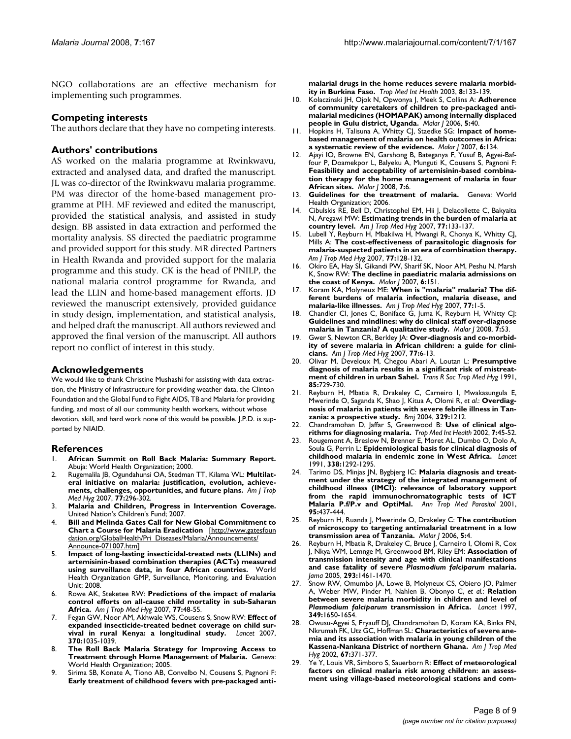NGO collaborations are an effective mechanism for implementing such programmes.

#### **Competing interests**

The authors declare that they have no competing interests.

#### **Authors' contributions**

AS worked on the malaria programme at Rwinkwavu, extracted and analysed data, and drafted the manuscript. JL was co-director of the Rwinkwavu malaria programme. PM was director of the home-based management programme at PIH. MF reviewed and edited the manuscript, provided the statistical analysis, and assisted in study design. BB assisted in data extraction and performed the mortality analysis. SS directed the paediatric programme and provided support for this study. MR directed Partners in Health Rwanda and provided support for the malaria programme and this study. CK is the head of PNILP, the national malaria control programme for Rwanda, and lead the LLIN and home-based management efforts. JD reviewed the manuscript extensively, provided guidance in study design, implementation, and statistical analysis, and helped draft the manuscript. All authors reviewed and approved the final version of the manuscript. All authors report no conflict of interest in this study.

#### **Acknowledgements**

We would like to thank Christine Mushashi for assisting with data extraction, the Ministry of Infrastructure for providing weather data, the Clinton Foundation and the Global Fund to Fight AIDS, TB and Malaria for providing funding, and most of all our community health workers, without whose devotion, skill, and hard work none of this would be possible. J.P.D. is supported by NIAID.

#### **References**

- 1. **African Summit on Roll Back Malaria: Summary Report.** Abuja: World Health Organization; 2000.
- 2. Rugemalila JB, Ogundahunsi OA, Stedman TT, Kilama WL: **[Multilat](http://www.ncbi.nlm.nih.gov/entrez/query.fcgi?cmd=Retrieve&db=PubMed&dopt=Abstract&list_uids=18165506)[eral initiative on malaria: justification, evolution, achieve](http://www.ncbi.nlm.nih.gov/entrez/query.fcgi?cmd=Retrieve&db=PubMed&dopt=Abstract&list_uids=18165506)[ments, challenges, opportunities, and future plans.](http://www.ncbi.nlm.nih.gov/entrez/query.fcgi?cmd=Retrieve&db=PubMed&dopt=Abstract&list_uids=18165506)** *Am J Trop Med Hyg* 2007, **77:**296-302.
- 3. **Malaria and Children, Progress in Intervention Coverage.** United Nation's Children's Fund; 2007.
- 4. **Bill and Melinda Gates Call for New Global Commitment to Chart a Course for Malaria Eradication** [[http://www.gatesfoun](http://www.gatesfoundation.org/GlobalHealth/Pri_Diseases/Malaria/Announcements/Announce-071007.htm) [dation.org/GlobalHealth/Pri\\_Diseases/Malaria/Announcements/](http://www.gatesfoundation.org/GlobalHealth/Pri_Diseases/Malaria/Announcements/Announce-071007.htm) [Announce-071007.htm](http://www.gatesfoundation.org/GlobalHealth/Pri_Diseases/Malaria/Announcements/Announce-071007.htm)]
- 5. **Impact of long-lasting insecticidal-treated nets (LLINs) and artemisinin-based combination therapies (ACTs) measured using surveillance data, in four African countries.** World Health Organization GMP, Surveillance, Monitoring, and Evaluation Unit; 2008.
- 6. Rowe AK, Steketee RW: **[Predictions of the impact of malaria](http://www.ncbi.nlm.nih.gov/entrez/query.fcgi?cmd=Retrieve&db=PubMed&dopt=Abstract&list_uids=18165474) [control efforts on all-cause child mortality in sub-Saharan](http://www.ncbi.nlm.nih.gov/entrez/query.fcgi?cmd=Retrieve&db=PubMed&dopt=Abstract&list_uids=18165474) [Africa.](http://www.ncbi.nlm.nih.gov/entrez/query.fcgi?cmd=Retrieve&db=PubMed&dopt=Abstract&list_uids=18165474)** *Am J Trop Med Hyg* 2007, **77:**48-55.
- 7. Fegan GW, Noor AM, Akhwale WS, Cousens S, Snow RW: **[Effect of](http://www.ncbi.nlm.nih.gov/entrez/query.fcgi?cmd=Retrieve&db=PubMed&dopt=Abstract&list_uids=17889242) [expanded insecticide-treated bednet coverage on child sur](http://www.ncbi.nlm.nih.gov/entrez/query.fcgi?cmd=Retrieve&db=PubMed&dopt=Abstract&list_uids=17889242)[vival in rural Kenya: a longitudinal study.](http://www.ncbi.nlm.nih.gov/entrez/query.fcgi?cmd=Retrieve&db=PubMed&dopt=Abstract&list_uids=17889242)** *Lancet* 2007, **370:**1035-1039.
- 8. **The Roll Back Malaria Strategy for Improving Access to Treatment through Home Management of Malaria.** Geneva: World Health Organization; 2005.
- 9. Sirima SB, Konate A, Tiono AB, Convelbo N, Cousens S, Pagnoni F: **[Early treatment of childhood fevers with pre-packaged anti-](http://www.ncbi.nlm.nih.gov/entrez/query.fcgi?cmd=Retrieve&db=PubMed&dopt=Abstract&list_uids=12581438)**

**[malarial drugs in the home reduces severe malaria morbid](http://www.ncbi.nlm.nih.gov/entrez/query.fcgi?cmd=Retrieve&db=PubMed&dopt=Abstract&list_uids=12581438)[ity in Burkina Faso.](http://www.ncbi.nlm.nih.gov/entrez/query.fcgi?cmd=Retrieve&db=PubMed&dopt=Abstract&list_uids=12581438)** *Trop Med Int Health* 2003, **8:**133-139.

- 10. Kolaczinski JH, Ojok N, Opwonya J, Meek S, Collins A: **[Adherence](http://www.ncbi.nlm.nih.gov/entrez/query.fcgi?cmd=Retrieve&db=PubMed&dopt=Abstract&list_uids=16700903) [of community caretakers of children to pre-packaged anti](http://www.ncbi.nlm.nih.gov/entrez/query.fcgi?cmd=Retrieve&db=PubMed&dopt=Abstract&list_uids=16700903)malarial medicines (HOMAPAK) among internally displaced [people in Gulu district, Uganda.](http://www.ncbi.nlm.nih.gov/entrez/query.fcgi?cmd=Retrieve&db=PubMed&dopt=Abstract&list_uids=16700903)** *Malar J* 2006, **5:**40.
- 11. Hopkins H, Talisuna A, Whitty CJ, Staedke SG: **[Impact of home](http://www.ncbi.nlm.nih.gov/entrez/query.fcgi?cmd=Retrieve&db=PubMed&dopt=Abstract&list_uids=17922916)[based management of malaria on health outcomes in Africa:](http://www.ncbi.nlm.nih.gov/entrez/query.fcgi?cmd=Retrieve&db=PubMed&dopt=Abstract&list_uids=17922916) [a systematic review of the evidence.](http://www.ncbi.nlm.nih.gov/entrez/query.fcgi?cmd=Retrieve&db=PubMed&dopt=Abstract&list_uids=17922916)** *Malar J* 2007, **6:**134.
- 12. Ajayi IO, Browne EN, Garshong B, Bateganya F, Yusuf B, Agyei-Baffour P, Doamekpor L, Balyeku A, Munguti K, Cousens S, Pagnoni F: **[Feasibility and acceptability of artemisinin-based combina](http://www.ncbi.nlm.nih.gov/entrez/query.fcgi?cmd=Retrieve&db=PubMed&dopt=Abstract&list_uids=18182114)tion therapy for the home management of malaria in four [African sites.](http://www.ncbi.nlm.nih.gov/entrez/query.fcgi?cmd=Retrieve&db=PubMed&dopt=Abstract&list_uids=18182114)** *Malar J* 2008, **7:**6.
- 13. **Guidelines for the treatment of malaria.** Geneva: World Health Organization; 2006.
- 14. Cibulskis RE, Bell D, Christophel EM, Hii J, Delacollette C, Bakyaita N, Aregawi MW: **[Estimating trends in the burden of malaria at](http://www.ncbi.nlm.nih.gov/entrez/query.fcgi?cmd=Retrieve&db=PubMed&dopt=Abstract&list_uids=18165485) [country level.](http://www.ncbi.nlm.nih.gov/entrez/query.fcgi?cmd=Retrieve&db=PubMed&dopt=Abstract&list_uids=18165485)** *Am J Trop Med Hyg* 2007, **77:**133-137.
- 15. Lubell Y, Reyburn H, Mbakilwa H, Mwangi R, Chonya K, Whitty CJ, Mills A: **[The cost-effectiveness of parasitologic diagnosis for](http://www.ncbi.nlm.nih.gov/entrez/query.fcgi?cmd=Retrieve&db=PubMed&dopt=Abstract&list_uids=18165484) [malaria-suspected patients in an era of combination therapy.](http://www.ncbi.nlm.nih.gov/entrez/query.fcgi?cmd=Retrieve&db=PubMed&dopt=Abstract&list_uids=18165484)** *Am J Trop Med Hyg* 2007, **77:**128-132.
- 16. Okiro EA, Hay SI, Gikandi PW, Sharif SK, Noor AM, Peshu N, Marsh K, Snow RW: **[The decline in paediatric malaria admissions on](http://www.ncbi.nlm.nih.gov/entrez/query.fcgi?cmd=Retrieve&db=PubMed&dopt=Abstract&list_uids=18005422) [the coast of Kenya.](http://www.ncbi.nlm.nih.gov/entrez/query.fcgi?cmd=Retrieve&db=PubMed&dopt=Abstract&list_uids=18005422)** *Malar J* 2007, **6:**151.
- 17. Koram KA, Molyneux ME: **[When is "malaria" malaria? The dif](http://www.ncbi.nlm.nih.gov/entrez/query.fcgi?cmd=Retrieve&db=PubMed&dopt=Abstract&list_uids=18165468)[ferent burdens of malaria infection, malaria disease, and](http://www.ncbi.nlm.nih.gov/entrez/query.fcgi?cmd=Retrieve&db=PubMed&dopt=Abstract&list_uids=18165468) [malaria-like illnesses.](http://www.ncbi.nlm.nih.gov/entrez/query.fcgi?cmd=Retrieve&db=PubMed&dopt=Abstract&list_uids=18165468)** *Am J Trop Med Hyg* 2007, **77:**1-5.
- 18. Chandler CI, Jones C, Boniface G, Juma K, Reyburn H, Whitty CJ: **[Guidelines and mindlines: why do clinical staff over-diagnose](http://www.ncbi.nlm.nih.gov/entrez/query.fcgi?cmd=Retrieve&db=PubMed&dopt=Abstract&list_uids=18384669) [malaria in Tanzania? A qualitative study.](http://www.ncbi.nlm.nih.gov/entrez/query.fcgi?cmd=Retrieve&db=PubMed&dopt=Abstract&list_uids=18384669)** *Malar J* 2008, **7:**53.
- 19. Gwer S, Newton CR, Berkley JA: **[Over-diagnosis and co-morbid](http://www.ncbi.nlm.nih.gov/entrez/query.fcgi?cmd=Retrieve&db=PubMed&dopt=Abstract&list_uids=18165469)[ity of severe malaria in African children: a guide for clini](http://www.ncbi.nlm.nih.gov/entrez/query.fcgi?cmd=Retrieve&db=PubMed&dopt=Abstract&list_uids=18165469)[cians.](http://www.ncbi.nlm.nih.gov/entrez/query.fcgi?cmd=Retrieve&db=PubMed&dopt=Abstract&list_uids=18165469)** *Am J Trop Med Hyg* 2007, **77:**6-13.
- 20. Olivar M, Develoux M, Chegou Abari A, Loutan L: **[Presumptive](http://www.ncbi.nlm.nih.gov/entrez/query.fcgi?cmd=Retrieve&db=PubMed&dopt=Abstract&list_uids=1801337) [diagnosis of malaria results in a significant risk of mistreat](http://www.ncbi.nlm.nih.gov/entrez/query.fcgi?cmd=Retrieve&db=PubMed&dopt=Abstract&list_uids=1801337)[ment of children in urban Sahel.](http://www.ncbi.nlm.nih.gov/entrez/query.fcgi?cmd=Retrieve&db=PubMed&dopt=Abstract&list_uids=1801337)** *Trans R Soc Trop Med Hyg* 1991, **85:**729-730.
- 21. Reyburn H, Mbatia R, Drakeley C, Carneiro I, Mwakasungula E, Mwerinde O, Saganda K, Shao J, Kitua A, Olomi R, *et al.*: **[Overdiag](http://www.ncbi.nlm.nih.gov/entrez/query.fcgi?cmd=Retrieve&db=PubMed&dopt=Abstract&list_uids=15542534)[nosis of malaria in patients with severe febrile illness in Tan](http://www.ncbi.nlm.nih.gov/entrez/query.fcgi?cmd=Retrieve&db=PubMed&dopt=Abstract&list_uids=15542534)[zania: a prospective study.](http://www.ncbi.nlm.nih.gov/entrez/query.fcgi?cmd=Retrieve&db=PubMed&dopt=Abstract&list_uids=15542534)** *Bmj* 2004, **329:**1212.
- 22. Chandramohan D, Jaffar S, Greenwood B: **[Use of clinical algo](http://www.ncbi.nlm.nih.gov/entrez/query.fcgi?cmd=Retrieve&db=PubMed&dopt=Abstract&list_uids=11851954)[rithms for diagnosing malaria.](http://www.ncbi.nlm.nih.gov/entrez/query.fcgi?cmd=Retrieve&db=PubMed&dopt=Abstract&list_uids=11851954)** *Trop Med Int Health* 2002, **7:**45-52.
- 23. Rougemont A, Breslow N, Brenner E, Moret AL, Dumbo O, Dolo A, Soula G, Perrin L: **[Epidemiological basis for clinical diagnosis of](http://www.ncbi.nlm.nih.gov/entrez/query.fcgi?cmd=Retrieve&db=PubMed&dopt=Abstract&list_uids=1682686) [childhood malaria in endemic zone in West Africa.](http://www.ncbi.nlm.nih.gov/entrez/query.fcgi?cmd=Retrieve&db=PubMed&dopt=Abstract&list_uids=1682686)** *Lancet* 1991, **338:**1292-1295.
- 24. Tarimo DS, Minjas JN, Bygbjerg IC: **[Malaria diagnosis and treat](http://www.ncbi.nlm.nih.gov/entrez/query.fcgi?cmd=Retrieve&db=PubMed&dopt=Abstract&list_uids=11487366)[ment under the strategy of the integrated management of](http://www.ncbi.nlm.nih.gov/entrez/query.fcgi?cmd=Retrieve&db=PubMed&dopt=Abstract&list_uids=11487366) childhood illness (IMCI): relevance of laboratory support from the rapid immunochromatographic tests of ICT [Malaria P.f/P.v and OptiMal.](http://www.ncbi.nlm.nih.gov/entrez/query.fcgi?cmd=Retrieve&db=PubMed&dopt=Abstract&list_uids=11487366)** *Ann Trop Med Parasitol* 2001, **95:**437-444.
- 25. Reyburn H, Ruanda J, Mwerinde O, Drakeley C: **[The contribution](http://www.ncbi.nlm.nih.gov/entrez/query.fcgi?cmd=Retrieve&db=PubMed&dopt=Abstract&list_uids=16423307) [of microscopy to targeting antimalarial treatment in a low](http://www.ncbi.nlm.nih.gov/entrez/query.fcgi?cmd=Retrieve&db=PubMed&dopt=Abstract&list_uids=16423307) [transmission area of Tanzania.](http://www.ncbi.nlm.nih.gov/entrez/query.fcgi?cmd=Retrieve&db=PubMed&dopt=Abstract&list_uids=16423307)** *Malar J* 2006, **5:**4.
- 26. Reyburn H, Mbatia R, Drakeley C, Bruce J, Carneiro I, Olomi R, Cox J, Nkya WM, Lemnge M, Greenwood BM, Riley EM: **Association of transmission intensity and age with clinical manifestations and case fatality of severe** *Plasmodium falciparum* **[malaria.](http://www.ncbi.nlm.nih.gov/entrez/query.fcgi?cmd=Retrieve&db=PubMed&dopt=Abstract&list_uids=15784869)** *Jama* 2005, **293:**1461-1470.
- 27. Snow RW, Omumbo JA, Lowe B, Molyneux CS, Obiero JO, Palmer A, Weber MW, Pinder M, Nahlen B, Obonyo C, *et al.*: **Relation between severe malaria morbidity in children and level of** *Plasmodium falciparum* **[transmission in Africa.](http://www.ncbi.nlm.nih.gov/entrez/query.fcgi?cmd=Retrieve&db=PubMed&dopt=Abstract&list_uids=9186382)** *Lancet* 1997, **349:**1650-1654.
- Owusu-Agyei S, Fryauff DJ, Chandramohan D, Koram KA, Binka FN, Nkrumah FK, Utz GC, Hoffman SL: **[Characteristics of severe ane](http://www.ncbi.nlm.nih.gov/entrez/query.fcgi?cmd=Retrieve&db=PubMed&dopt=Abstract&list_uids=12452491)[mia and its association with malaria in young children of the](http://www.ncbi.nlm.nih.gov/entrez/query.fcgi?cmd=Retrieve&db=PubMed&dopt=Abstract&list_uids=12452491) [Kassena-Nankana District of northern Ghana.](http://www.ncbi.nlm.nih.gov/entrez/query.fcgi?cmd=Retrieve&db=PubMed&dopt=Abstract&list_uids=12452491)** *Am J Trop Med Hyg* 2002, **67:**371-377.
- 29. Ye Y, Louis VR, Simboro S, Sauerborn R: **[Effect of meteorological](http://www.ncbi.nlm.nih.gov/entrez/query.fcgi?cmd=Retrieve&db=PubMed&dopt=Abstract&list_uids=17559638) [factors on clinical malaria risk among children: an assess](http://www.ncbi.nlm.nih.gov/entrez/query.fcgi?cmd=Retrieve&db=PubMed&dopt=Abstract&list_uids=17559638)[ment using village-based meteorological stations and com](http://www.ncbi.nlm.nih.gov/entrez/query.fcgi?cmd=Retrieve&db=PubMed&dopt=Abstract&list_uids=17559638)-**